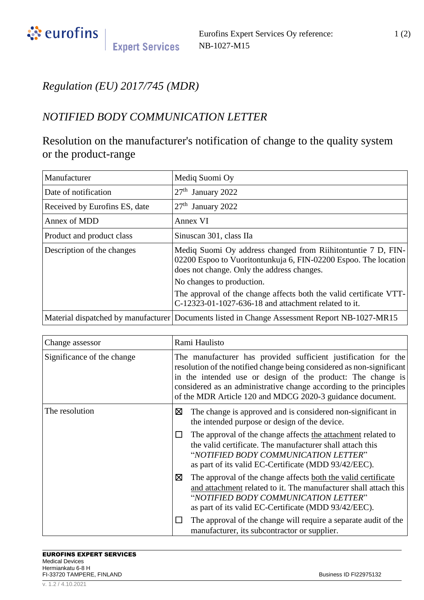

## *Regulation (EU) 2017/745 (MDR)*

## *NOTIFIED BODY COMMUNICATION LETTER*

## Resolution on the manufacturer's notification of change to the quality system or the product-range

| Manufacturer                  | Mediq Suomi Oy                                                                                                                                                                |  |
|-------------------------------|-------------------------------------------------------------------------------------------------------------------------------------------------------------------------------|--|
| Date of notification          | $27th$ January 2022                                                                                                                                                           |  |
| Received by Eurofins ES, date | $27th$ January 2022                                                                                                                                                           |  |
| Annex of MDD                  | Annex VI                                                                                                                                                                      |  |
| Product and product class     | Sinuscan 301, class IIa                                                                                                                                                       |  |
| Description of the changes    | Mediq Suomi Oy address changed from Riihitontuntie 7 D, FIN-<br>02200 Espoo to Vuoritontunkuja 6, FIN-02200 Espoo. The location<br>does not change. Only the address changes. |  |
|                               | No changes to production.                                                                                                                                                     |  |
|                               | The approval of the change affects both the valid certificate VTT-<br>C-12323-01-1027-636-18 and attachment related to it.                                                    |  |
|                               | Material dispatched by manufacturer Documents listed in Change Assessment Report NB-1027-MR15                                                                                 |  |

| Change assessor            | Rami Haulisto                                                                                                                                                                                                                                                                                                                             |  |
|----------------------------|-------------------------------------------------------------------------------------------------------------------------------------------------------------------------------------------------------------------------------------------------------------------------------------------------------------------------------------------|--|
| Significance of the change | The manufacturer has provided sufficient justification for the<br>resolution of the notified change being considered as non-significant<br>in the intended use or design of the product: The change is<br>considered as an administrative change according to the principles<br>of the MDR Article 120 and MDCG 2020-3 guidance document. |  |
| The resolution             | ⊠<br>The change is approved and is considered non-significant in<br>the intended purpose or design of the device.                                                                                                                                                                                                                         |  |
|                            | The approval of the change affects the attachment related to<br>the valid certificate. The manufacturer shall attach this<br>"NOTIFIED BODY COMMUNICATION LETTER"<br>as part of its valid EC-Certificate (MDD 93/42/EEC).                                                                                                                 |  |
|                            | ⊠<br>The approval of the change affects both the valid certificate<br>and attachment related to it. The manufacturer shall attach this<br>"NOTIFIED BODY COMMUNICATION LETTER"<br>as part of its valid EC-Certificate (MDD 93/42/EEC).                                                                                                    |  |
|                            | The approval of the change will require a separate audit of the<br>manufacturer, its subcontractor or supplier.                                                                                                                                                                                                                           |  |